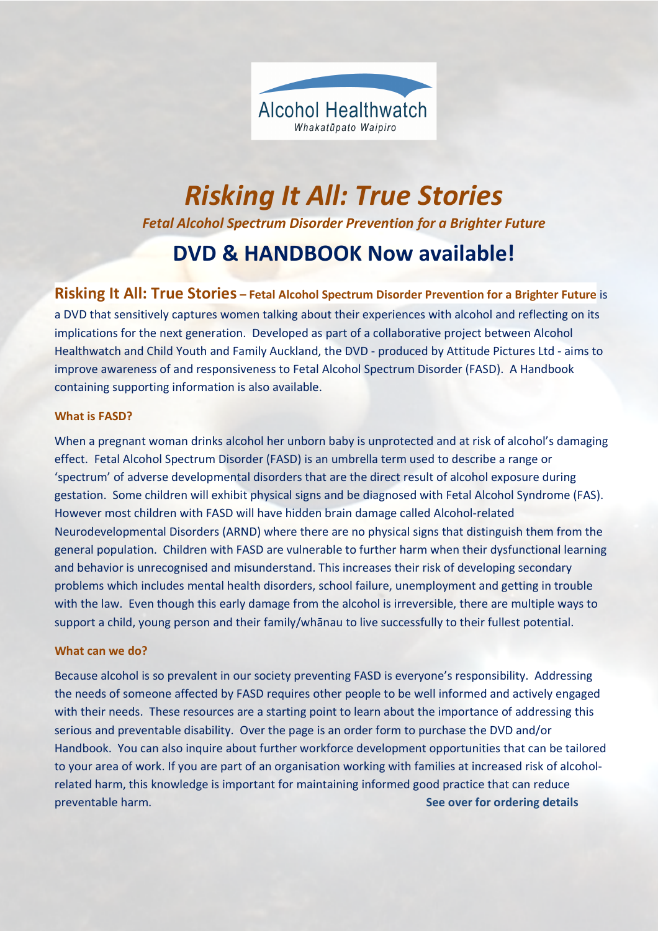

# Risking It All: True Stories Fetal Alcohol Spectrum Disorder Prevention for a Brighter Future DVD & HANDBOOK Now available!

## Risking It All: True Stories – Fetal Alcohol Spectrum Disorder Prevention for a Brighter Future is

a DVD that sensitively captures women talking about their experiences with alcohol and reflecting on its implications for the next generation. Developed as part of a collaborative project between Alcohol Healthwatch and Child Youth and Family Auckland, the DVD - produced by Attitude Pictures Ltd - aims to improve awareness of and responsiveness to Fetal Alcohol Spectrum Disorder (FASD). A Handbook containing supporting information is also available.

#### What is FASD?

When a pregnant woman drinks alcohol her unborn baby is unprotected and at risk of alcohol's damaging effect. Fetal Alcohol Spectrum Disorder (FASD) is an umbrella term used to describe a range or 'spectrum' of adverse developmental disorders that are the direct result of alcohol exposure during gestation. Some children will exhibit physical signs and be diagnosed with Fetal Alcohol Syndrome (FAS). However most children with FASD will have hidden brain damage called Alcohol-related Neurodevelopmental Disorders (ARND) where there are no physical signs that distinguish them from the general population. Children with FASD are vulnerable to further harm when their dysfunctional learning and behavior is unrecognised and misunderstand. This increases their risk of developing secondary problems which includes mental health disorders, school failure, unemployment and getting in trouble with the law. Even though this early damage from the alcohol is irreversible, there are multiple ways to support a child, young person and their family/whānau to live successfully to their fullest potential.

#### What can we do?

Because alcohol is so prevalent in our society preventing FASD is everyone's responsibility. Addressing the needs of someone affected by FASD requires other people to be well informed and actively engaged with their needs. These resources are a starting point to learn about the importance of addressing this serious and preventable disability. Over the page is an order form to purchase the DVD and/or Handbook. You can also inquire about further workforce development opportunities that can be tailored to your area of work. If you are part of an organisation working with families at increased risk of alcoholrelated harm, this knowledge is important for maintaining informed good practice that can reduce preventable harm. The second see over for ordering details and see over for ordering details